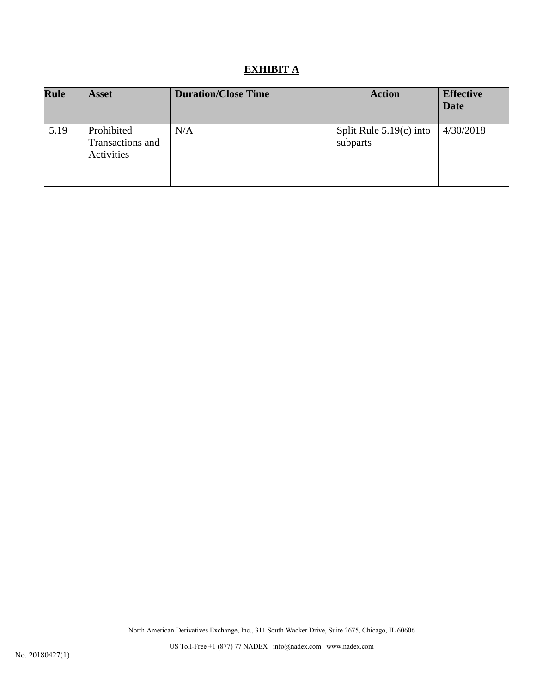# **EXHIBIT A**

| <b>Rule</b> | <b>Asset</b>                                 | <b>Duration/Close Time</b> | <b>Action</b>                         | <b>Effective</b><br><b>Date</b> |
|-------------|----------------------------------------------|----------------------------|---------------------------------------|---------------------------------|
| 5.19        | Prohibited<br>Transactions and<br>Activities | N/A                        | Split Rule $5.19(c)$ into<br>subparts | 4/30/2018                       |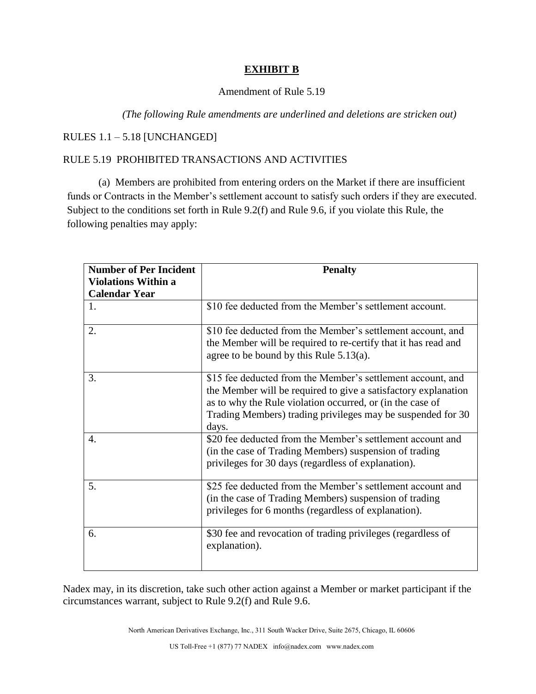### **EXHIBIT B**

#### Amendment of Rule 5.19

#### *(The following Rule amendments are underlined and deletions are stricken out)*

### RULES 1.1 – 5.18 [UNCHANGED]

## RULE 5.19 PROHIBITED TRANSACTIONS AND ACTIVITIES

(a) Members are prohibited from entering orders on the Market if there are insufficient funds or Contracts in the Member's settlement account to satisfy such orders if they are executed. Subject to the conditions set forth in Rule 9.2(f) and Rule 9.6, if you violate this Rule, the following penalties may apply:

| <b>Number of Per Incident</b> | <b>Penalty</b>                                                                                                                                                                                                                                                     |  |
|-------------------------------|--------------------------------------------------------------------------------------------------------------------------------------------------------------------------------------------------------------------------------------------------------------------|--|
| <b>Violations Within a</b>    |                                                                                                                                                                                                                                                                    |  |
| <b>Calendar Year</b>          |                                                                                                                                                                                                                                                                    |  |
| 1.                            | \$10 fee deducted from the Member's settlement account.                                                                                                                                                                                                            |  |
| 2.                            | \$10 fee deducted from the Member's settlement account, and<br>the Member will be required to re-certify that it has read and<br>agree to be bound by this Rule $5.13(a)$ .                                                                                        |  |
| 3.                            | \$15 fee deducted from the Member's settlement account, and<br>the Member will be required to give a satisfactory explanation<br>as to why the Rule violation occurred, or (in the case of<br>Trading Members) trading privileges may be suspended for 30<br>days. |  |
| $\overline{4}$ .              | \$20 fee deducted from the Member's settlement account and<br>(in the case of Trading Members) suspension of trading<br>privileges for 30 days (regardless of explanation).                                                                                        |  |
| 5.                            | \$25 fee deducted from the Member's settlement account and<br>(in the case of Trading Members) suspension of trading<br>privileges for 6 months (regardless of explanation).                                                                                       |  |
| 6.                            | \$30 fee and revocation of trading privileges (regardless of<br>explanation).                                                                                                                                                                                      |  |

Nadex may, in its discretion, take such other action against a Member or market participant if the circumstances warrant, subject to Rule 9.2(f) and Rule 9.6.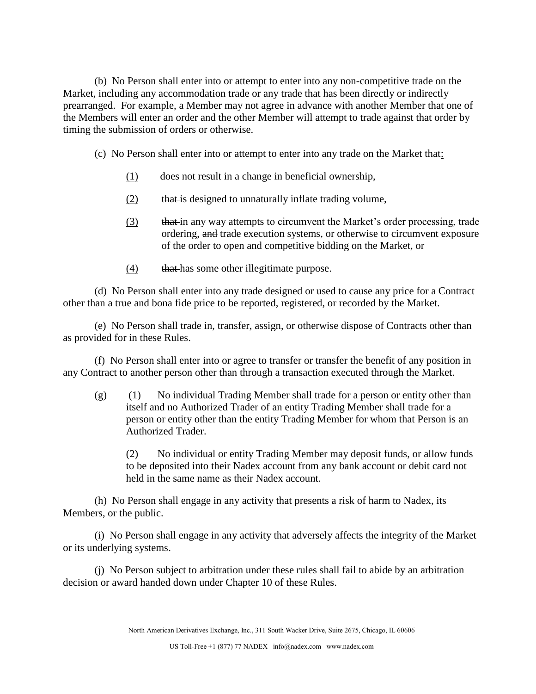(b) No Person shall enter into or attempt to enter into any non-competitive trade on the Market, including any accommodation trade or any trade that has been directly or indirectly prearranged. For example, a Member may not agree in advance with another Member that one of the Members will enter an order and the other Member will attempt to trade against that order by timing the submission of orders or otherwise.

- (c) No Person shall enter into or attempt to enter into any trade on the Market that:
	- (1) does not result in a change in beneficial ownership,
	- (2) that is designed to unnaturally inflate trading volume,
	- (3) that in any way attempts to circumvent the Market's order processing, trade ordering, and trade execution systems, or otherwise to circumvent exposure of the order to open and competitive bidding on the Market, or
	- (4) that has some other illegitimate purpose.

(d) No Person shall enter into any trade designed or used to cause any price for a Contract other than a true and bona fide price to be reported, registered, or recorded by the Market.

(e) No Person shall trade in, transfer, assign, or otherwise dispose of Contracts other than as provided for in these Rules.

(f) No Person shall enter into or agree to transfer or transfer the benefit of any position in any Contract to another person other than through a transaction executed through the Market.

(g) (1) No individual Trading Member shall trade for a person or entity other than itself and no Authorized Trader of an entity Trading Member shall trade for a person or entity other than the entity Trading Member for whom that Person is an Authorized Trader.

(2) No individual or entity Trading Member may deposit funds, or allow funds to be deposited into their Nadex account from any bank account or debit card not held in the same name as their Nadex account.

(h) No Person shall engage in any activity that presents a risk of harm to Nadex, its Members, or the public.

(i) No Person shall engage in any activity that adversely affects the integrity of the Market or its underlying systems.

(j) No Person subject to arbitration under these rules shall fail to abide by an arbitration decision or award handed down under Chapter 10 of these Rules.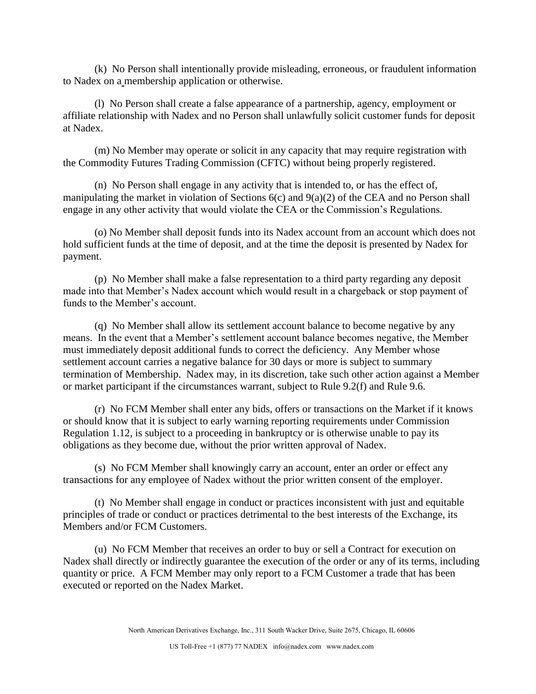(k) No Person shall intentionally provide misleading, erroneous, or fraudulent information to Nadex on a membership application or otherwise.

(l) No Person shall create a false appearance of a partnership, agency, employment or affiliate relationship with Nadex and no Person shall unlawfully solicit customer funds for deposit at Nadex.

(m) No Member may operate or solicit in any capacity that may require registration with the Commodity Futures Trading Commission (CFTC) without being properly registered.

(n) No Person shall engage in any activity that is intended to, or has the effect of, manipulating the market in violation of Sections 6(c) and 9(a)(2) of the CEA and no Person shall engage in any other activity that would violate the CEA or the Commission's Regulations.

(o) No Member shall deposit funds into its Nadex account from an account which does not hold sufficient funds at the time of deposit, and at the time the deposit is presented by Nadex for payment.

(p) No Member shall make a false representation to a third party regarding any deposit made into that Member's Nadex account which would result in a chargeback or stop payment of funds to the Member's account.

(q) No Member shall allow its settlement account balance to become negative by any means. In the event that a Member's settlement account balance becomes negative, the Member must immediately deposit additional funds to correct the deficiency. Any Member whose settlement account carries a negative balance for 30 days or more is subject to summary termination of Membership. Nadex may, in its discretion, take such other action against a Member or market participant if the circumstances warrant, subject to Rule 9.2(f) and Rule 9.6.

(r) No FCM Member shall enter any bids, offers or transactions on the Market if it knows or should know that it is subject to early warning reporting requirements under Commission Regulation 1.12, is subject to a proceeding in bankruptcy or is otherwise unable to pay its obligations as they become due, without the prior written approval of Nadex.

(s) No FCM Member shall knowingly carry an account, enter an order or effect any transactions for any employee of Nadex without the prior written consent of the employer.

(t) No Member shall engage in conduct or practices inconsistent with just and equitable principles of trade or conduct or practices detrimental to the best interests of the Exchange, its Members and/or FCM Customers.

(u) No FCM Member that receives an order to buy or sell a Contract for execution on Nadex shall directly or indirectly guarantee the execution of the order or any of its terms, including quantity or price. A FCM Member may only report to a FCM Customer a trade that has been executed or reported on the Nadex Market.